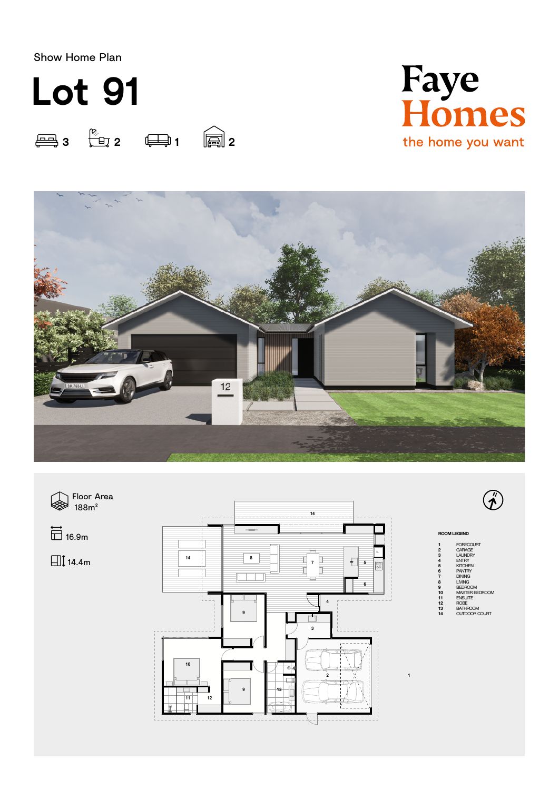Show Home Plan









 $\bigcirc$ 

## ROOM LEGEND

1 FORECOURT<br>2 GARAGE<br>3 LAUNDRY<br>5 KITCHEN<br>5 PANTRY<br>7 DINING<br>12 BATHROOM<br>10 MASTER BEDROOM<br>10 MASTER BEDROOM<br>10 MASTER BEDROOM<br>12 BATHROOM<br>24 ROBE